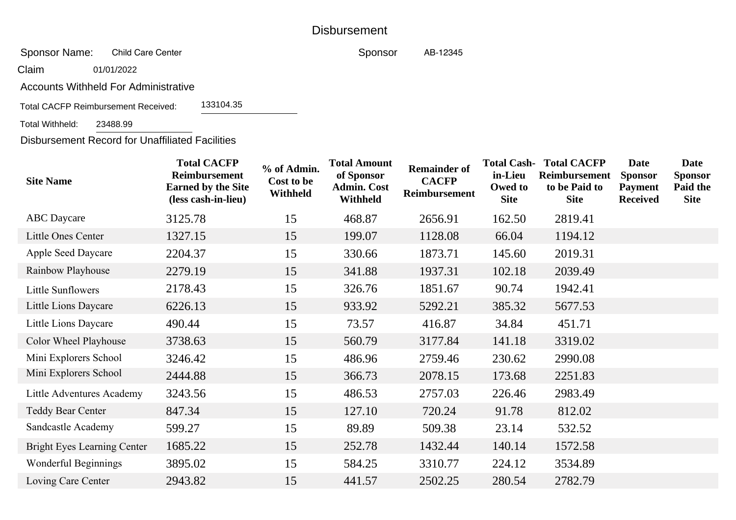## **Disbursement**

 Sponsor Name:Child Care Center

Claim01/01/2022

Accounts Withheld For Administrative

133104.35Total CACFP Reimbursement Received:

 Total Withheld:23488.99

Disbursement Record for Unaffiliated Facilities

| <b>Site Name</b>                   | <b>Total CACFP</b><br>Reimbursement<br><b>Earned by the Site</b><br>(less cash-in-lieu) | % of Admin.<br>Cost to be<br>Withheld | <b>Total Amount</b><br>of Sponsor<br><b>Admin. Cost</b><br>Withheld | <b>Remainder of</b><br><b>CACFP</b><br>Reimbursement | <b>Total Cash-</b><br>in-Lieu<br>Owed to<br><b>Site</b> | <b>Total CACFP</b><br>Reimbursement<br>to be Paid to<br><b>Site</b> | Date<br><b>Sponsor</b><br><b>Payment</b><br><b>Received</b> | <b>Date</b><br><b>Sponsor</b><br>Paid the<br><b>Site</b> |
|------------------------------------|-----------------------------------------------------------------------------------------|---------------------------------------|---------------------------------------------------------------------|------------------------------------------------------|---------------------------------------------------------|---------------------------------------------------------------------|-------------------------------------------------------------|----------------------------------------------------------|
| <b>ABC</b> Daycare                 | 3125.78                                                                                 | 15                                    | 468.87                                                              | 2656.91                                              | 162.50                                                  | 2819.41                                                             |                                                             |                                                          |
| <b>Little Ones Center</b>          | 1327.15                                                                                 | 15                                    | 199.07                                                              | 1128.08                                              | 66.04                                                   | 1194.12                                                             |                                                             |                                                          |
| <b>Apple Seed Daycare</b>          | 2204.37                                                                                 | 15                                    | 330.66                                                              | 1873.71                                              | 145.60                                                  | 2019.31                                                             |                                                             |                                                          |
| Rainbow Playhouse                  | 2279.19                                                                                 | 15                                    | 341.88                                                              | 1937.31                                              | 102.18                                                  | 2039.49                                                             |                                                             |                                                          |
| Little Sunflowers                  | 2178.43                                                                                 | 15                                    | 326.76                                                              | 1851.67                                              | 90.74                                                   | 1942.41                                                             |                                                             |                                                          |
| Little Lions Daycare               | 6226.13                                                                                 | 15                                    | 933.92                                                              | 5292.21                                              | 385.32                                                  | 5677.53                                                             |                                                             |                                                          |
| Little Lions Daycare               | 490.44                                                                                  | 15                                    | 73.57                                                               | 416.87                                               | 34.84                                                   | 451.71                                                              |                                                             |                                                          |
| Color Wheel Playhouse              | 3738.63                                                                                 | 15                                    | 560.79                                                              | 3177.84                                              | 141.18                                                  | 3319.02                                                             |                                                             |                                                          |
| Mini Explorers School              | 3246.42                                                                                 | 15                                    | 486.96                                                              | 2759.46                                              | 230.62                                                  | 2990.08                                                             |                                                             |                                                          |
| Mini Explorers School              | 2444.88                                                                                 | 15                                    | 366.73                                                              | 2078.15                                              | 173.68                                                  | 2251.83                                                             |                                                             |                                                          |
| <b>Little Adventures Academy</b>   | 3243.56                                                                                 | 15                                    | 486.53                                                              | 2757.03                                              | 226.46                                                  | 2983.49                                                             |                                                             |                                                          |
| <b>Teddy Bear Center</b>           | 847.34                                                                                  | 15                                    | 127.10                                                              | 720.24                                               | 91.78                                                   | 812.02                                                              |                                                             |                                                          |
| Sandcastle Academy                 | 599.27                                                                                  | 15                                    | 89.89                                                               | 509.38                                               | 23.14                                                   | 532.52                                                              |                                                             |                                                          |
| <b>Bright Eyes Learning Center</b> | 1685.22                                                                                 | 15                                    | 252.78                                                              | 1432.44                                              | 140.14                                                  | 1572.58                                                             |                                                             |                                                          |
| Wonderful Beginnings               | 3895.02                                                                                 | 15                                    | 584.25                                                              | 3310.77                                              | 224.12                                                  | 3534.89                                                             |                                                             |                                                          |
| Loving Care Center                 | 2943.82                                                                                 | 15                                    | 441.57                                                              | 2502.25                                              | 280.54                                                  | 2782.79                                                             |                                                             |                                                          |
|                                    |                                                                                         |                                       |                                                                     |                                                      |                                                         |                                                                     |                                                             |                                                          |

SponsorAB-<sup>12345</sup>